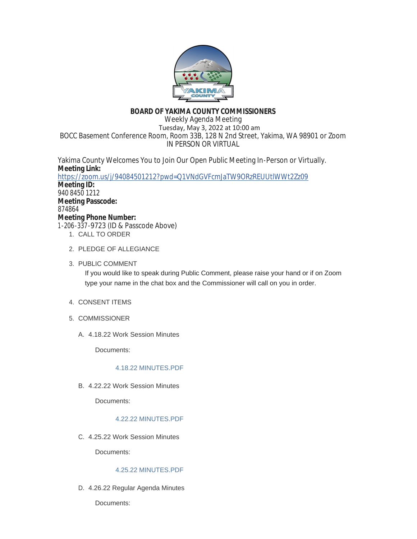

# **BOARD OF YAKIMA COUNTY COMMISSIONERS**

Weekly Agenda Meeting Tuesday, May 3, 2022 at 10:00 am BOCC Basement Conference Room, Room 33B, 128 N 2nd Street, Yakima, WA 98901 or Zoom IN PERSON OR VIRTUAL

Yakima County Welcomes You to Join Our Open Public Meeting In-Person or Virtually. **Meeting Link:** <https://zoom.us/j/94084501212?pwd=Q1VNdGVFcmJaTW9ORzREUUtlWWt2Zz09> **Meeting ID:** 940 8450 1212 **Meeting Passcode:** 874864 **Meeting Phone Number:** 1-206-337-9723 (ID & Passcode Above) 1. CALL TO ORDER

- 2. PLEDGE OF ALLEGIANCE
- 3. PUBLIC COMMENT

If you would like to speak during Public Comment, please raise your hand or if on Zoom type your name in the chat box and the Commissioner will call on you in order.

- 4. CONSENT ITEMS
- 5. COMMISSIONER
	- 4.18.22 Work Session Minutes A.

Documents:

# [4.18.22 MINUTES.PDF](https://www.yakimacounty.us/AgendaCenter/ViewFile/Item/4353?fileID=16121)

4.22.22 Work Session Minutes B.

Documents:

# [4.22.22 MINUTES.PDF](https://www.yakimacounty.us/AgendaCenter/ViewFile/Item/4354?fileID=16145)

4.25.22 Work Session Minutes C.

Documents:

# [4.25.22 MINUTES.PDF](https://www.yakimacounty.us/AgendaCenter/ViewFile/Item/4355?fileID=16123)

4.26.22 Regular Agenda Minutes D.

Documents: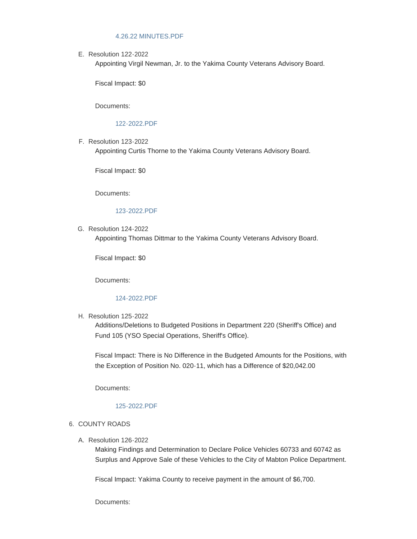#### [4.26.22 MINUTES.PDF](https://www.yakimacounty.us/AgendaCenter/ViewFile/Item/4356?fileID=16124)

E. Resolution 122-2022

Appointing Virgil Newman, Jr. to the Yakima County Veterans Advisory Board.

Fiscal Impact: \$0

Documents:

#### [122-2022.PDF](https://www.yakimacounty.us/AgendaCenter/ViewFile/Item/4358?fileID=16126)

F. Resolution 123-2022

Appointing Curtis Thorne to the Yakima County Veterans Advisory Board.

Fiscal Impact: \$0

Documents:

# [123-2022.PDF](https://www.yakimacounty.us/AgendaCenter/ViewFile/Item/4357?fileID=16125)

G. Resolution 124-2022 Appointing Thomas Dittmar to the Yakima County Veterans Advisory Board.

Fiscal Impact: \$0

Documents:

#### [124-2022.PDF](https://www.yakimacounty.us/AgendaCenter/ViewFile/Item/4359?fileID=16127)

H. Resolution 125-2022

Additions/Deletions to Budgeted Positions in Department 220 (Sheriff's Office) and Fund 105 (YSO Special Operations, Sheriff's Office).

Fiscal Impact: There is No Difference in the Budgeted Amounts for the Positions, with the Exception of Position No. 020-11, which has a Difference of \$20,042.00

Documents:

#### [125-2022.PDF](https://www.yakimacounty.us/AgendaCenter/ViewFile/Item/4360?fileID=16128)

#### 6. COUNTY ROADS

Resolution 126-2022 A.

Making Findings and Determination to Declare Police Vehicles 60733 and 60742 as Surplus and Approve Sale of these Vehicles to the City of Mabton Police Department.

Fiscal Impact: Yakima County to receive payment in the amount of \$6,700.

Documents: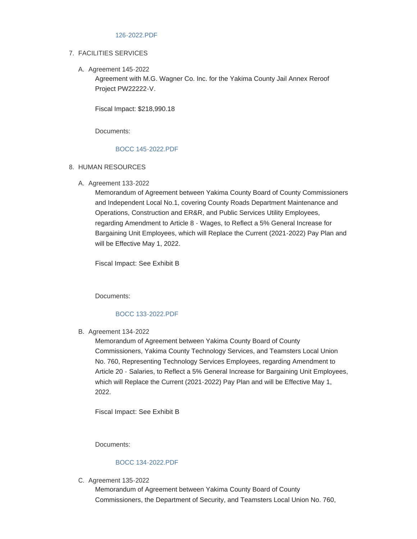#### [126-2022.PDF](https://www.yakimacounty.us/AgendaCenter/ViewFile/Item/4371?fileID=16139)

### FACILITIES SERVICES 7.

A. Agreement 145-2022

Agreement with M.G. Wagner Co. Inc. for the Yakima County Jail Annex Reroof Project PW22222-V.

Fiscal Impact: \$218,990.18

Documents:

### [BOCC 145-2022.PDF](https://www.yakimacounty.us/AgendaCenter/ViewFile/Item/4372?fileID=16141)

- 8. HUMAN RESOURCES
	- A. Agreement 133-2022

Memorandum of Agreement between Yakima County Board of County Commissioners and Independent Local No.1, covering County Roads Department Maintenance and Operations, Construction and ER&R, and Public Services Utility Employees, regarding Amendment to Article 8 - Wages, to Reflect a 5% General Increase for Bargaining Unit Employees, which will Replace the Current (2021-2022) Pay Plan and will be Effective May 1, 2022.

Fiscal Impact: See Exhibit B

Documents:

# [BOCC 133-2022.PDF](https://www.yakimacounty.us/AgendaCenter/ViewFile/Item/4361?fileID=16129)

B. Agreement 134-2022

Memorandum of Agreement between Yakima County Board of County Commissioners, Yakima County Technology Services, and Teamsters Local Union No. 760, Representing Technology Services Employees, regarding Amendment to Article 20 - Salaries, to Reflect a 5% General Increase for Bargaining Unit Employees, which will Replace the Current (2021-2022) Pay Plan and will be Effective May 1, 2022.

Fiscal Impact: See Exhibit B

Documents:

#### [BOCC 134-2022.PDF](https://www.yakimacounty.us/AgendaCenter/ViewFile/Item/4362?fileID=16130)

C. Agreement 135-2022

Memorandum of Agreement between Yakima County Board of County Commissioners, the Department of Security, and Teamsters Local Union No. 760,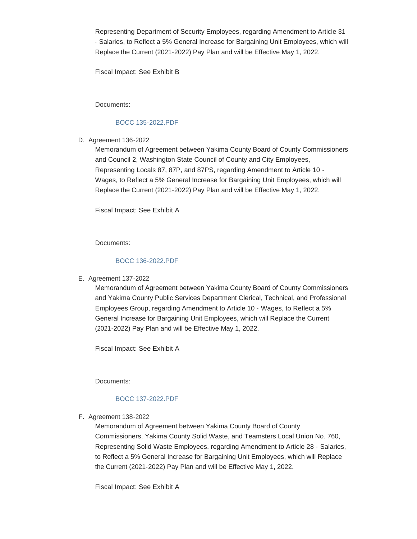Representing Department of Security Employees, regarding Amendment to Article 31 - Salaries, to Reflect a 5% General Increase for Bargaining Unit Employees, which will Replace the Current (2021-2022) Pay Plan and will be Effective May 1, 2022.

Fiscal Impact: See Exhibit B

Documents:

## [BOCC 135-2022.PDF](https://www.yakimacounty.us/AgendaCenter/ViewFile/Item/4363?fileID=16131)

D. Agreement 136-2022

Memorandum of Agreement between Yakima County Board of County Commissioners and Council 2, Washington State Council of County and City Employees, Representing Locals 87, 87P, and 87PS, regarding Amendment to Article 10 - Wages, to Reflect a 5% General Increase for Bargaining Unit Employees, which will Replace the Current (2021-2022) Pay Plan and will be Effective May 1, 2022.

Fiscal Impact: See Exhibit A

Documents:

#### [BOCC 136-2022.PDF](https://www.yakimacounty.us/AgendaCenter/ViewFile/Item/4364?fileID=16132)

E. Agreement 137-2022

Memorandum of Agreement between Yakima County Board of County Commissioners and Yakima County Public Services Department Clerical, Technical, and Professional Employees Group, regarding Amendment to Article 10 - Wages, to Reflect a 5% General Increase for Bargaining Unit Employees, which will Replace the Current (2021-2022) Pay Plan and will be Effective May 1, 2022.

Fiscal Impact: See Exhibit A

Documents:

#### [BOCC 137-2022.PDF](https://www.yakimacounty.us/AgendaCenter/ViewFile/Item/4365?fileID=16133)

Agreement 138-2022 F.

Memorandum of Agreement between Yakima County Board of County Commissioners, Yakima County Solid Waste, and Teamsters Local Union No. 760, Representing Solid Waste Employees, regarding Amendment to Article 28 - Salaries, to Reflect a 5% General Increase for Bargaining Unit Employees, which will Replace the Current (2021-2022) Pay Plan and will be Effective May 1, 2022.

Fiscal Impact: See Exhibit A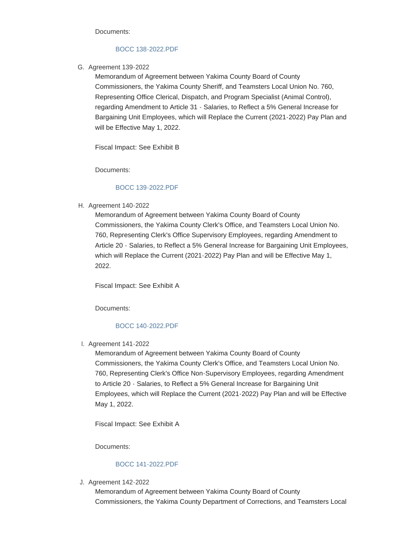Documents:

### [BOCC 138-2022.PDF](https://www.yakimacounty.us/AgendaCenter/ViewFile/Item/4366?fileID=16134)

G. Agreement 139-2022

Memorandum of Agreement between Yakima County Board of County Commissioners, the Yakima County Sheriff, and Teamsters Local Union No. 760, Representing Office Clerical, Dispatch, and Program Specialist (Animal Control), regarding Amendment to Article 31 - Salaries, to Reflect a 5% General Increase for Bargaining Unit Employees, which will Replace the Current (2021-2022) Pay Plan and will be Effective May 1, 2022.

Fiscal Impact: See Exhibit B

Documents:

## [BOCC 139-2022.PDF](https://www.yakimacounty.us/AgendaCenter/ViewFile/Item/4367?fileID=16135)

H. Agreement 140-2022

Memorandum of Agreement between Yakima County Board of County Commissioners, the Yakima County Clerk's Office, and Teamsters Local Union No. 760, Representing Clerk's Office Supervisory Employees, regarding Amendment to Article 20 - Salaries, to Reflect a 5% General Increase for Bargaining Unit Employees, which will Replace the Current (2021-2022) Pay Plan and will be Effective May 1, 2022.

Fiscal Impact: See Exhibit A

Documents:

## [BOCC 140-2022.PDF](https://www.yakimacounty.us/AgendaCenter/ViewFile/Item/4368?fileID=16136)

Agreement 141-2022 I.

Memorandum of Agreement between Yakima County Board of County Commissioners, the Yakima County Clerk's Office, and Teamsters Local Union No. 760, Representing Clerk's Office Non-Supervisory Employees, regarding Amendment to Article 20 - Salaries, to Reflect a 5% General Increase for Bargaining Unit Employees, which will Replace the Current (2021-2022) Pay Plan and will be Effective May 1, 2022.

Fiscal Impact: See Exhibit A

Documents:

## [BOCC 141-2022.PDF](https://www.yakimacounty.us/AgendaCenter/ViewFile/Item/4369?fileID=16137)

Agreement 142-2022 J.

Memorandum of Agreement between Yakima County Board of County Commissioners, the Yakima County Department of Corrections, and Teamsters Local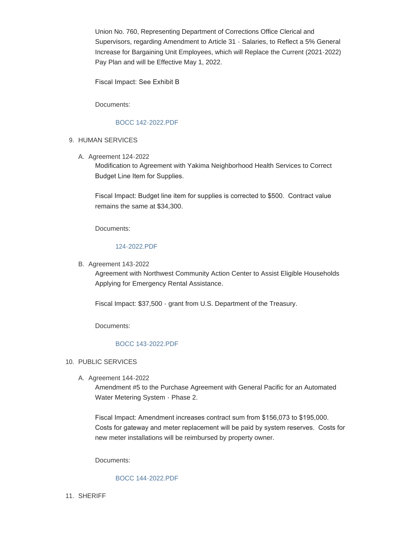Union No. 760, Representing Department of Corrections Office Clerical and Supervisors, regarding Amendment to Article 31 - Salaries, to Reflect a 5% General Increase for Bargaining Unit Employees, which will Replace the Current (2021-2022) Pay Plan and will be Effective May 1, 2022.

Fiscal Impact: See Exhibit B

Documents:

# [BOCC 142-2022.PDF](https://www.yakimacounty.us/AgendaCenter/ViewFile/Item/4370?fileID=16138)

# 9. HUMAN SERVICES

A. Agreement 124-2022

Modification to Agreement with Yakima Neighborhood Health Services to Correct Budget Line Item for Supplies.

Fiscal Impact: Budget line item for supplies is corrected to \$500. Contract value remains the same at \$34,300.

Documents:

### [124-2022.PDF](https://www.yakimacounty.us/AgendaCenter/ViewFile/Item/4228?fileID=16140)

**B.** Agreement 143-2022

Agreement with Northwest Community Action Center to Assist Eligible Households Applying for Emergency Rental Assistance.

Fiscal Impact: \$37,500 - grant from U.S. Department of the Treasury.

Documents:

# [BOCC 143-2022.PDF](https://www.yakimacounty.us/AgendaCenter/ViewFile/Item/4373?fileID=16142)

# 10. PUBLIC SERVICES

A. Agreement 144-2022

Amendment #5 to the Purchase Agreement with General Pacific for an Automated Water Metering System - Phase 2.

Fiscal Impact: Amendment increases contract sum from \$156,073 to \$195,000. Costs for gateway and meter replacement will be paid by system reserves. Costs for new meter installations will be reimbursed by property owner.

Documents:

# [BOCC 144-2022.PDF](https://www.yakimacounty.us/AgendaCenter/ViewFile/Item/4374?fileID=16143)

11. SHERIFF